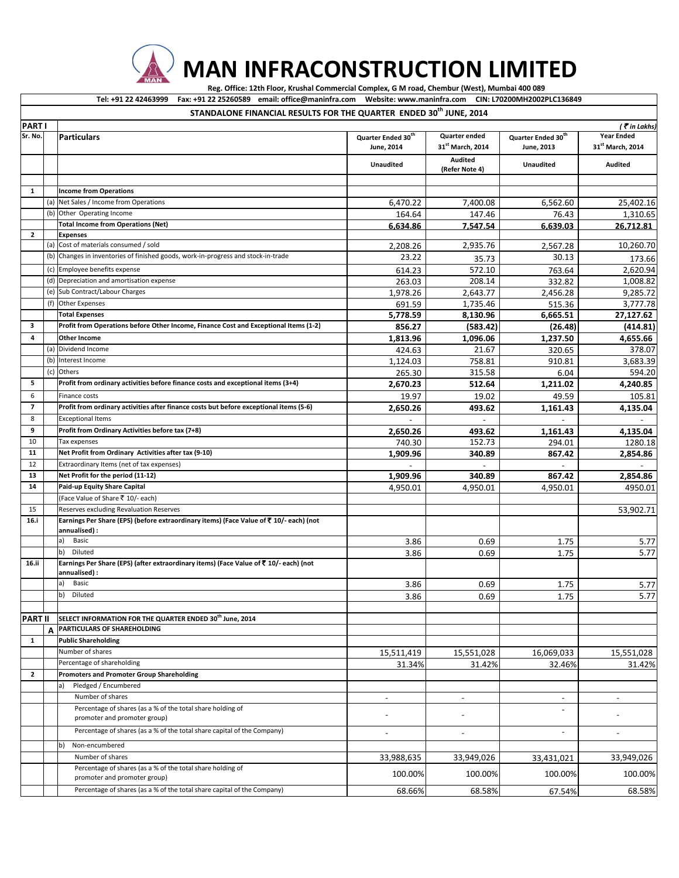**MAN INFRACONSTRUCTION LIMITED**

Reg. Office: 12th Floor, Krushal Commercial Complex, G M road, Chembur (West), Mumbai 400 089

Tel: +91 22 42463999 Fax: +91 22 25260589 email: office@maninfra.com Website: www.maninfra.com CIN: L70200MH2002PLC136849

|                |     | rax. +31 22 23200303     chian. Unice@mamma.com      vvebsite. www.mamma.com     chv. E70200Mm2002FEC1300+3<br>STANDALONE FINANCIAL RESULTS FOR THE QUARTER ENDED 30th JUNE, 2014 |                                              |                                               |                                              |                                                   |
|----------------|-----|-----------------------------------------------------------------------------------------------------------------------------------------------------------------------------------|----------------------------------------------|-----------------------------------------------|----------------------------------------------|---------------------------------------------------|
| <b>PARTI</b>   |     |                                                                                                                                                                                   |                                              |                                               |                                              | (₹in Lakhs)                                       |
| Sr. No.        |     | <b>Particulars</b>                                                                                                                                                                | Quarter Ended 30 <sup>th</sup><br>June, 2014 | Quarter ended<br>31 <sup>st</sup> March, 2014 | Quarter Ended 30 <sup>th</sup><br>June, 2013 | <b>Year Ended</b><br>31 <sup>st</sup> March, 2014 |
|                |     |                                                                                                                                                                                   | Unaudited                                    | <b>Audited</b><br>(Refer Note 4)              | <b>Unaudited</b>                             | <b>Audited</b>                                    |
|                |     |                                                                                                                                                                                   |                                              |                                               |                                              |                                                   |
| $\mathbf{1}$   |     | <b>Income from Operations</b>                                                                                                                                                     |                                              |                                               |                                              |                                                   |
|                | (a) | Net Sales / Income from Operations                                                                                                                                                | 6,470.22                                     | 7,400.08                                      | 6,562.60                                     | 25,402.16                                         |
|                |     | (b) Other Operating Income                                                                                                                                                        | 164.64                                       | 147.46                                        | 76.43                                        | 1,310.65                                          |
|                |     | <b>Total Income from Operations (Net)</b>                                                                                                                                         | 6,634.86                                     | 7,547.54                                      | 6,639.03                                     | 26,712.81                                         |
| $\mathbf{2}$   |     | <b>Expenses</b>                                                                                                                                                                   |                                              |                                               |                                              |                                                   |
|                | (a) | Cost of materials consumed / sold                                                                                                                                                 | 2,208.26                                     | 2,935.76                                      | 2,567.28                                     | 10,260.70                                         |
|                |     | (b) Changes in inventories of finished goods, work-in-progress and stock-in-trade                                                                                                 | 23.22                                        | 35.73                                         | 30.13                                        | 173.66                                            |
|                |     | (c) Employee benefits expense                                                                                                                                                     | 614.23                                       | 572.10                                        | 763.64                                       | 2,620.94                                          |
|                |     | (d) Depreciation and amortisation expense                                                                                                                                         | 263.03                                       | 208.14                                        | 332.82                                       | 1,008.82                                          |
|                |     | (e) Sub Contract/Labour Charges                                                                                                                                                   | 1,978.26                                     | 2,643.77                                      | 2,456.28                                     | 9,285.72                                          |
|                |     | (f) Other Expenses                                                                                                                                                                | 691.59                                       | 1,735.46                                      | 515.36                                       | 3,777.78                                          |
|                |     | <b>Total Expenses</b>                                                                                                                                                             | 5,778.59                                     | 8,130.96                                      | 6,665.51                                     | 27,127.62                                         |
| 3              |     | Profit from Operations before Other Income, Finance Cost and Exceptional Items (1-2)                                                                                              | 856.27                                       | (583.42)                                      | (26.48)                                      | (414.81)                                          |
| 4              |     | Other Income                                                                                                                                                                      | 1,813.96                                     | 1,096.06                                      | 1,237.50                                     | 4,655.66                                          |
|                |     | (a) Dividend Income                                                                                                                                                               | 424.63                                       | 21.67                                         | 320.65                                       | 378.07                                            |
|                |     | (b) Interest Income                                                                                                                                                               | 1,124.03                                     | 758.81                                        | 910.81                                       | 3,683.39                                          |
|                | (c) | Others                                                                                                                                                                            | 265.30                                       | 315.58                                        | 6.04                                         | 594.20                                            |
| 5              |     | Profit from ordinary activities before finance costs and exceptional items (3+4)                                                                                                  | 2,670.23                                     | 512.64                                        | 1,211.02                                     | 4,240.85                                          |
| 6              |     | Finance costs                                                                                                                                                                     | 19.97                                        | 19.02                                         | 49.59                                        | 105.81                                            |
| $\overline{ }$ |     | Profit from ordinary activities after finance costs but before exceptional items (5-6)                                                                                            | 2,650.26                                     | 493.62                                        | 1,161.43                                     | 4,135.04                                          |
| 8              |     | <b>Exceptional Items</b>                                                                                                                                                          |                                              | $\sim$                                        |                                              |                                                   |
| 9              |     | Profit from Ordinary Activities before tax (7+8)                                                                                                                                  | 2,650.26                                     | 493.62                                        | 1,161.43                                     | 4,135.04                                          |
| 10             |     | Tax expenses                                                                                                                                                                      | 740.30                                       | 152.73                                        | 294.01                                       | 1280.18                                           |
| 11             |     | Net Profit from Ordinary Activities after tax (9-10)                                                                                                                              | 1,909.96                                     | 340.89                                        | 867.42                                       | 2,854.86                                          |
| 12             |     | Extraordinary Items (net of tax expenses)                                                                                                                                         |                                              |                                               |                                              |                                                   |
| 13             |     | Net Profit for the period (11-12)                                                                                                                                                 | 1,909.96                                     | 340.89                                        | 867.42                                       | 2,854.86                                          |
| 14             |     | Paid-up Equity Share Capital                                                                                                                                                      | 4,950.01                                     | 4,950.01                                      | 4,950.01                                     | 4950.01                                           |
|                |     | (Face Value of Share ₹ 10/- each)                                                                                                                                                 |                                              |                                               |                                              |                                                   |
| 15             |     | Reserves excluding Revaluation Reserves                                                                                                                                           |                                              |                                               |                                              | 53,902.71                                         |
| 16.i           |     | Earnings Per Share (EPS) (before extraordinary items) (Face Value of ₹ 10/- each) (not<br>annualised) :                                                                           |                                              |                                               |                                              |                                                   |
|                |     | a)<br>Basic                                                                                                                                                                       | 3.86                                         | 0.69                                          | 1.75                                         | 5.77                                              |
|                |     | b)<br>Diluted                                                                                                                                                                     | 3.86                                         | 0.69                                          | 1.75                                         | 5.77                                              |
| 16.ii          |     | Earnings Per Share (EPS) (after extraordinary items) (Face Value of ₹ 10/- each) (not<br>annualised) :                                                                            |                                              |                                               |                                              |                                                   |
|                |     | a)<br>Basic<br>$\mathsf{b}$<br><b>Diluted</b>                                                                                                                                     | 3.86                                         | 0.69                                          | 1.75                                         | 5.77                                              |
|                |     |                                                                                                                                                                                   | 3.86                                         | 0.69                                          | 1.75                                         | 5.77                                              |
|                |     |                                                                                                                                                                                   |                                              |                                               |                                              |                                                   |
| <b>PART II</b> |     | SELECT INFORMATION FOR THE QUARTER ENDED 30th June, 2014<br>PARTICULARS OF SHAREHOLDING                                                                                           |                                              |                                               |                                              |                                                   |
| $\mathbf{1}$   | A   | <b>Public Shareholding</b>                                                                                                                                                        |                                              |                                               |                                              |                                                   |
|                |     | Number of shares                                                                                                                                                                  |                                              |                                               |                                              |                                                   |
|                |     | Percentage of shareholding                                                                                                                                                        | 15,511,419                                   | 15,551,028                                    | 16,069,033                                   | 15,551,028                                        |
| $\mathbf{2}$   |     | Promoters and Promoter Group Shareholding                                                                                                                                         | 31.34%                                       | 31.42%                                        | 32.46%                                       | 31.42%                                            |
|                |     | Pledged / Encumbered<br>a)                                                                                                                                                        |                                              |                                               |                                              |                                                   |
|                |     | Number of shares                                                                                                                                                                  |                                              |                                               |                                              |                                                   |
|                |     | Percentage of shares (as a % of the total share holding of                                                                                                                        | $\overline{\phantom{a}}$                     |                                               |                                              |                                                   |
|                |     | promoter and promoter group)                                                                                                                                                      |                                              |                                               |                                              |                                                   |
|                |     | Percentage of shares (as a % of the total share capital of the Company)                                                                                                           | $\overline{\phantom{a}}$                     |                                               |                                              |                                                   |
|                |     | Non-encumbered<br>b)                                                                                                                                                              |                                              |                                               |                                              |                                                   |
|                |     | Number of shares                                                                                                                                                                  | 33,988,635                                   | 33,949,026                                    | 33,431,021                                   | 33,949,026                                        |
|                |     | Percentage of shares (as a % of the total share holding of                                                                                                                        |                                              |                                               |                                              |                                                   |
|                |     | promoter and promoter group)                                                                                                                                                      | 100.00%                                      | 100.00%                                       | 100.00%                                      | 100.00%                                           |
|                |     | Percentage of shares (as a % of the total share capital of the Company)                                                                                                           | 68.66%                                       | 68.58%                                        | 67.54%                                       | 68.58%                                            |